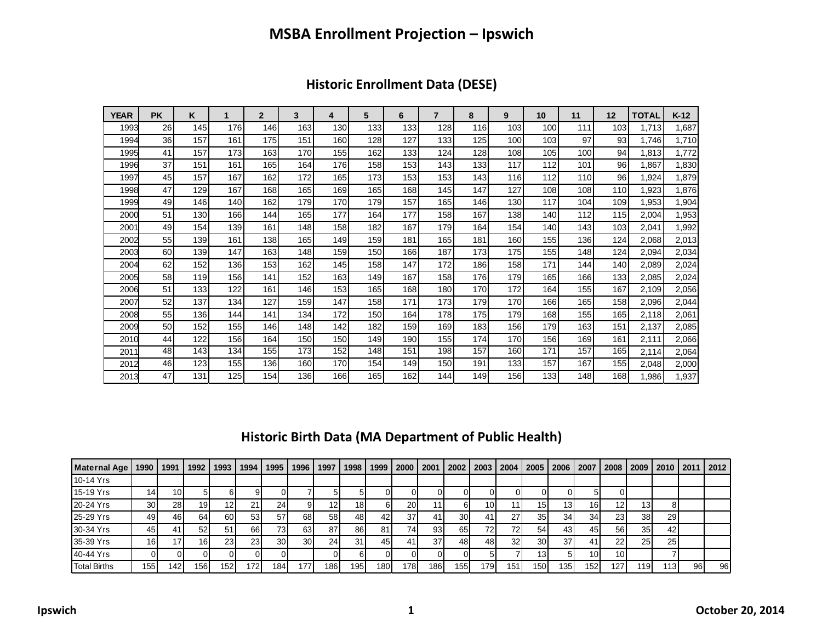### **MSBA Enrollment Projection – Ipswich**

| <b>YEAR</b> | <b>PK</b> | K   | 1   | $\overline{2}$ | 3   | 4   | 5   | 6   | $\overline{7}$ | 8   | 9   | 10  | 11         | 12  | <b>TOTAL</b> | $K-12$ |
|-------------|-----------|-----|-----|----------------|-----|-----|-----|-----|----------------|-----|-----|-----|------------|-----|--------------|--------|
| 1993        | 26        | 145 | 176 | 146            | 163 | 130 | 133 | 133 | 128            | 116 | 103 | 100 | 111        | 103 | 1,713        | 1,687  |
| 1994        | 36        | 157 | 161 | 175            | 151 | 160 | 128 | 127 | 133            | 125 | 100 | 103 | 97         | 93  | 1.746        | 1,710  |
| 1995        | 41        | 157 | 173 | 163            | 170 | 155 | 162 | 133 | 124            | 128 | 108 | 105 | 100        | 94  | 1,813        | 1,772  |
| 1996        | 37        | 151 | 161 | 165            | 164 | 176 | 158 | 153 | 143            | 133 | 117 | 112 | 101        | 96  | 1,867        | 1,830  |
| 1997        | 45        | 157 | 167 | 162            | 172 | 165 | 173 | 153 | 153            | 143 | 116 | 112 | <b>110</b> | 96  | 1,924        | 1,879  |
| 1998        | 47        | 129 | 167 | 168            | 165 | 169 | 165 | 168 | 145            | 147 | 127 | 108 | 108        | 110 | 1,923        | 1,876  |
| 1999        | 49        | 146 | 140 | 162            | 179 | 170 | 179 | 157 | 165            | 146 | 130 | 117 | 104        | 109 | 1,953        | 1,904  |
| 2000        | 51        | 130 | 166 | 144            | 165 | 177 | 164 | 177 | 158            | 167 | 138 | 140 | 112        | 115 | 2,004        | 1,953  |
| 2001        | 49        | 154 | 139 | 161            | 148 | 158 | 182 | 167 | 179            | 164 | 154 | 140 | 143        | 103 | 2,041        | 1,992  |
| 2002        | 55        | 139 | 161 | 138            | 165 | 149 | 159 | 181 | 165            | 181 | 160 | 155 | 136        | 124 | 2,068        | 2,013  |
| 2003        | 60        | 139 | 147 | 163            | 148 | 159 | 150 | 166 | 187            | 173 | 175 | 155 | 148        | 124 | 2,094        | 2,034  |
| 2004        | 62        | 152 | 136 | 153            | 162 | 145 | 158 | 147 | 172            | 186 | 158 | 171 | 144        | 140 | 2,089        | 2,024  |
| 2005        | 58        | 119 | 156 | 141            | 152 | 163 | 149 | 167 | 158            | 176 | 179 | 165 | 166        | 133 | 2,085        | 2,024  |
| 2006        | 51        | 133 | 122 | 161            | 146 | 153 | 165 | 168 | 180            | 170 | 172 | 164 | 155        | 167 | 2,109        | 2,056  |
| 2007        | 52        | 137 | 134 | 127            | 159 | 147 | 158 | 171 | 173            | 179 | 170 | 166 | 165        | 158 | 2,096        | 2,044  |
| 2008        | 55        | 136 | 144 | 141            | 134 | 172 | 150 | 164 | 178            | 175 | 179 | 168 | 155        | 165 | 2,118        | 2,061  |
| 2009        | 50        | 152 | 155 | 146            | 148 | 142 | 182 | 159 | 169            | 183 | 156 | 179 | 163        | 151 | 2,137        | 2,085  |
| 2010        | 44        | 122 | 156 | 164            | 150 | 150 | 149 | 190 | 155            | 174 | 170 | 156 | 169        | 161 | 2,111        | 2,066  |
| 2011        | 48        | 143 | 134 | 155            | 173 | 152 | 148 | 151 | 198            | 157 | 160 | 171 | 157        | 165 | 2,114        | 2,064  |
| 2012        | 46        | 123 | 155 | 136            | 160 | 170 | 154 | 149 | 150            | 191 | 133 | 157 | 167        | 155 | 2,048        | 2,000  |
| 2013        | 47        | 131 | 125 | 154            | 136 | 166 | 165 | 162 | 144            | 149 | 156 | 133 | 148        | 168 | 1,986        | 1,937  |

#### **Historic Enrollment Data (DESE)**

#### **Historic Birth Data (MA Department of Public Health)**

| <b>Maternal Age</b> | 1990             | 1991            | 1992 | 1993 | 1994            | 1995            | 1996            | 1997 | 1998 | 1999             | 2000      | 2001 | 2002            | 2003 | 2004 | 2005            | 2006             | 2007            | 2008            | 2009            | 2010 2011        |     | <b>2012</b> |
|---------------------|------------------|-----------------|------|------|-----------------|-----------------|-----------------|------|------|------------------|-----------|------|-----------------|------|------|-----------------|------------------|-----------------|-----------------|-----------------|------------------|-----|-------------|
| 10-14 Yrs           |                  |                 |      |      |                 |                 |                 |      |      |                  |           |      |                 |      |      |                 |                  |                 |                 |                 |                  |     |             |
| 15-19 Yrs           | 141              | 10 <sub>1</sub> |      |      |                 |                 |                 |      |      |                  |           |      |                 |      |      |                 |                  |                 |                 |                 |                  |     |             |
| 20-24 Yrs           | 30 <sup>1</sup>  | 28 <sub>l</sub> | 19   | 12   | 21              | 24              |                 | 12   | 18)  |                  | <b>20</b> |      |                 | 10   |      | 15              | 13               | 16 <sup>1</sup> | 12 <sub>1</sub> | 131             |                  |     |             |
| 25-29 Yrs           | 49               | 46              | 64   | 60   | 53 <sub>1</sub> | 57              | 68              | 58   | 48 I | 42               | 37        |      | 30 <sup>1</sup> | 41   | 27   | 35 <sub>l</sub> | 34               | 34              | 23              | 38              | 29               |     |             |
| 30-34 Yrs           | 45               |                 | 52   | 51   | 66              | 731             | 63              | 87   | 86 l | 81               | 74)       | 931  | 65              | 72.  | 72   | 54              | 43               | 45              | 56              | 35 <sub>1</sub> | 42               |     |             |
| 35-39 Yrs           | 16 <sub>1</sub>  |                 | 16   | 23   | 231             | 30 <sup>1</sup> | 30 <sup>1</sup> | 24   | 31   | 45               |           | 37   | 481             | 48   | 32   | <b>30</b>       | 37               |                 | 22              | 25              | 25 <sub>1</sub>  |     |             |
| 40-44 Yrs           |                  |                 |      |      |                 |                 |                 |      |      |                  |           |      |                 |      |      | 13 <sup>1</sup> |                  | 10 <sup>1</sup> | 10 <sub>1</sub> |                 |                  |     |             |
| <b>Total Births</b> | 155 <sub>1</sub> | 142             | 156  | 152  | 172             | 184             | 177             | 186. | 1951 | 180 <sub>1</sub> | 1781      | 1861 | 1551            | 179  | 151  | 1501            | 135 <sub>1</sub> | 152             | 127             | '191            | 113 <sub>1</sub> | 961 | 96 I        |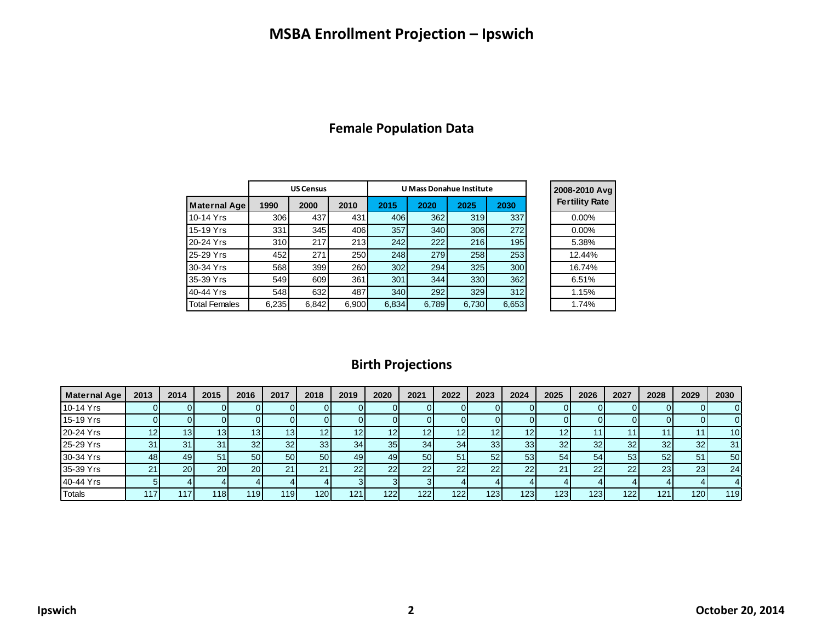### **MSBA Enrollment Projection – Ipswich**

|  |  | <b>Female Population Data</b> |  |
|--|--|-------------------------------|--|
|--|--|-------------------------------|--|

|                      |       | <b>US Census</b> |       |       | <b>U Mass Donahue Institute</b> | 2008-2010 Avg |       |                       |
|----------------------|-------|------------------|-------|-------|---------------------------------|---------------|-------|-----------------------|
| <b>Maternal Age</b>  | 1990  | 2000             | 2010  | 2015  | 2020                            | 2025          | 2030  | <b>Fertility Rate</b> |
| 10-14 Yrs            | 306   | 437              | 431   | 406   | 362                             | 319           | 337   | $0.00\%$              |
| 15-19 Yrs            | 331   | 345              | 406   | 357   | 340                             | 306           | 272   | 0.00%                 |
| 20-24 Yrs            | 310   | 217              | 213   | 242   | 222                             | 216           | 195   | 5.38%                 |
| 25-29 Yrs            | 452   | 271              | 250   | 248   | 279                             | 258           | 253   | 12.44%                |
| 30-34 Yrs            | 568   | 399              | 260   | 302   | 294                             | 325           | 300   | 16.74%                |
| 35-39 Yrs            | 549   | 609              | 361   | 301   | 344                             | 330           | 362   | 6.51%                 |
| 40-44 Yrs            | 548   | 632              | 487   | 340   | 292                             | 329           | 312   | 1.15%                 |
| <b>Total Females</b> | 6,235 | 6,842            | 6,900 | 6,834 | 6,789                           | 6,730         | 6,653 | 1.74%                 |
|                      |       |                  |       |       |                                 |               |       |                       |

# **Birth Projections**

| <b>Maternal Age</b> | 2013 | 2014            | 2015           | 2016 | 2017             | 2018               | 2019            | 2020 | 2021            | 2022            | 2023             | 2024            | 2025             | 2026             | 2027 | 2028 | 2029             | 2030            |
|---------------------|------|-----------------|----------------|------|------------------|--------------------|-----------------|------|-----------------|-----------------|------------------|-----------------|------------------|------------------|------|------|------------------|-----------------|
| 10-14 Yrs           |      |                 |                |      |                  |                    |                 |      |                 |                 |                  |                 |                  |                  |      |      |                  |                 |
| 15-19 Yrs           |      |                 |                |      |                  |                    |                 |      |                 |                 |                  |                 |                  |                  |      |      |                  |                 |
| 20-24 Yrs           |      | 13 <sub>1</sub> | 13             | 13   | 13               |                    |                 | 12   | 12 <sub>1</sub> | 12 <sub>1</sub> | 12               | 12.             |                  |                  |      |      |                  | 10 <sup>1</sup> |
| 25-29 Yrs           | 31   | 31              | 31             | 32   | 32               | 33 <sub>1</sub>    | 34              | 35   | 34              | 34 <sub>1</sub> | 33 <sub>1</sub>  | 33 <sub>l</sub> | 32               | 32               | 32   | 32   | 32               | 31              |
| 30-34 Yrs           | 48   | 49              | 5 <sup>1</sup> | 50   | 50 <sub>1</sub>  | 50 <sub>1</sub>    | 49              | 49   | 50              | 51              | 52               | 53              | 54               | 54               | 53   | 52   | 51               | 50              |
| 35-39 Yrs           | n,   | 20 <sub>1</sub> | <b>201</b>     | 20   | n,               | $\mathcal{L}$<br>∠ | 22              | 22   | 22              | 22              | 22               | 22              |                  | 22               | 22   | 23   | 23               | 24              |
| 40-44 Yrs           |      |                 |                |      |                  |                    |                 |      |                 |                 |                  |                 |                  |                  |      |      |                  |                 |
| <b>Totals</b>       |      |                 | <b>1181</b>    | 119  | 119 <sub>1</sub> | 120 <sub>1</sub>   | 12 <sup>1</sup> | 122  | 122             | 122             | 123 <sub>1</sub> | 123             | 123 <sub>1</sub> | 123 <sub>1</sub> | 122  | 121  | 120 <sub>1</sub> | 119             |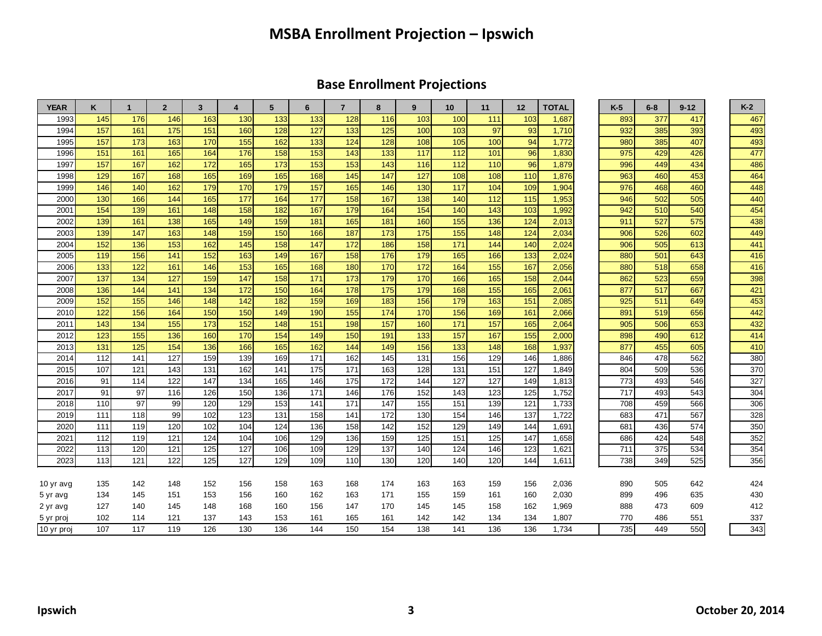### **MSBA Enrollment Projection – Ipswich**

### **Base Enrollment Projections**

| <b>YEAR</b> | ĸ   | $\mathbf{1}$ | $\overline{2}$ | 3   | $\overline{4}$ | 5   | 6   | $\overline{7}$ | 8   | 9   | 10  | 11  | 12  | <b>TOTAL</b> | $K-5$ | $6 - 8$ | $9 - 12$ | $K-2$ |
|-------------|-----|--------------|----------------|-----|----------------|-----|-----|----------------|-----|-----|-----|-----|-----|--------------|-------|---------|----------|-------|
| 1993        | 145 | 176          | 146            | 163 | 130            | 133 | 133 | 128            | 116 | 103 | 100 | 111 | 103 | 1,687        | 893   | 377     | 417      | 467   |
| 1994        | 157 | 161          | 175            | 151 | 160            | 128 | 127 | 133            | 125 | 100 | 103 | 97  | 93  | 1,710        | 932   | 385     | 393      | 493   |
| 1995        | 157 | 173          | 163            | 170 | 155            | 162 | 133 | 124            | 128 | 108 | 105 | 100 | 94  | 1,772        | 980   | 385     | 407      | 493   |
| 1996        | 151 | 161          | 165            | 164 | 176            | 158 | 153 | 143            | 133 | 117 | 112 | 101 | 96  | 1,830        | 975   | 429     | 426      | 477   |
| 1997        | 157 | 167          | 162            | 172 | 165            | 173 | 153 | 153            | 143 | 116 | 112 | 110 | 96  | 1,879        | 996   | 449     | 434      | 486   |
| 1998        | 129 | 167          | 168            | 165 | 169            | 165 | 168 | 145            | 147 | 127 | 108 | 108 | 110 | 1,876        | 963   | 460     | 453      | 464   |
| 1999        | 146 | 140          | 162            | 179 | 170            | 179 | 157 | 165            | 146 | 130 | 117 | 104 | 109 | 1,904        | 976   | 468     | 460      | 448   |
| 2000        | 130 | 166          | 144            | 165 | 177            | 164 | 177 | 158            | 167 | 138 | 140 | 112 | 115 | 1,953        | 946   | 502     | 505      | 440   |
| 2001        | 154 | 139          | 161            | 148 | 158            | 182 | 167 | 179            | 164 | 154 | 140 | 143 | 103 | 1,992        | 942   | 510     | 540      | 454   |
| 2002        | 139 | 161          | 138            | 165 | 149            | 159 | 181 | 165            | 181 | 160 | 155 | 136 | 124 | 2,013        | 911   | 527     | 575      | 438   |
| 2003        | 139 | 147          | 163            | 148 | 159            | 150 | 166 | 187            | 173 | 175 | 155 | 148 | 124 | 2,034        | 906   | 526     | 602      | 449   |
| 2004        | 152 | 136          | 153            | 162 | 145            | 158 | 147 | 172            | 186 | 158 | 171 | 144 | 140 | 2,024        | 906   | 505     | 613      | 441   |
| 2005        | 119 | 156          | 141            | 152 | 163            | 149 | 167 | 158            | 176 | 179 | 165 | 166 | 133 | 2,024        | 880   | 501     | 643      | 416   |
| 2006        | 133 | 122          | 161            | 146 | 153            | 165 | 168 | 180            | 170 | 172 | 164 | 155 | 167 | 2,056        | 880   | 518     | 658      | 416   |
| 2007        | 137 | 134          | 127            | 159 | 147            | 158 | 171 | 173            | 179 | 170 | 166 | 165 | 158 | 2,044        | 862   | 523     | 659      | 398   |
| 2008        | 136 | 144          | 141            | 134 | 172            | 150 | 164 | 178            | 175 | 179 | 168 | 155 | 165 | 2,061        | 877   | 517     | 667      | 421   |
| 2009        | 152 | 155          | 146            | 148 | 142            | 182 | 159 | 169            | 183 | 156 | 179 | 163 | 151 | 2,085        | 925   | 511     | 649      | 453   |
| 2010        | 122 | 156          | 164            | 150 | 150            | 149 | 190 | 155            | 174 | 170 | 156 | 169 | 161 | 2,066        | 891   | 519     | 656      | 442   |
| 2011        | 143 | 134          | 155            | 173 | 152            | 148 | 151 | 198            | 157 | 160 | 171 | 157 | 165 | 2,064        | 905   | 506     | 653      | 432   |
| 2012        | 123 | 155          | 136            | 160 | 170            | 154 | 149 | 150            | 191 | 133 | 157 | 167 | 155 | 2,000        | 898   | 490     | 612      | 414   |
| 2013        | 131 | 125          | 154            | 136 | 166            | 165 | 162 | 144            | 149 | 156 | 133 | 148 | 168 | 1,937        | 877   | 455     | 605      | 410   |
| 2014        | 112 | 141          | 127            | 159 | 139            | 169 | 171 | 162            | 145 | 131 | 156 | 129 | 146 | 1,886        | 846   | 478     | 562      | 380   |
| 2015        | 107 | 121          | 143            | 131 | 162            | 141 | 175 | 171            | 163 | 128 | 131 | 151 | 127 | 1,849        | 804   | 509     | 536      | 370   |
| 2016        | 91  | 114          | 122            | 147 | 134            | 165 | 146 | 175            | 172 | 144 | 127 | 127 | 149 | 1,813        | 773   | 493     | 546      | 327   |
| 2017        | 91  | 97           | 116            | 126 | 150            | 136 | 171 | 146            | 176 | 152 | 143 | 123 | 125 | 1,752        | 717   | 493     | 543      | 304   |
| 2018        | 110 | 97           | 99             | 120 | 129            | 153 | 141 | 171            | 147 | 155 | 151 | 139 | 121 | 1,733        | 708   | 459     | 566      | 306   |
| 2019        | 111 | 118          | 99             | 102 | 123            | 131 | 158 | 141            | 172 | 130 | 154 | 146 | 137 | 1,722        | 683   | 471     | 567      | 328   |
| 2020        | 111 | 119          | 120            | 102 | 104            | 124 | 136 | 158            | 142 | 152 | 129 | 149 | 144 | 1,691        | 681   | 436     | 574      | 350   |
| 2021        | 112 | 119          | 121            | 124 | 104            | 106 | 129 | 136            | 159 | 125 | 151 | 125 | 147 | 1,658        | 686   | 424     | 548      | 352   |
| 2022        | 113 | 120          | 121            | 125 | 127            | 106 | 109 | 129            | 137 | 140 | 124 | 146 | 123 | 1,621        | 711   | 375     | 534      | 354   |
| 2023        | 113 | 121          | 122            | 125 | 127            | 129 | 109 | 110            | 130 | 120 | 140 | 120 | 144 | 1,611        | 738   | 349     | 525      | 356   |
|             |     |              |                |     |                |     |     |                |     |     |     |     |     |              |       |         |          |       |
| 10 yr avg   | 135 | 142          | 148            | 152 | 156            | 158 | 163 | 168            | 174 | 163 | 163 | 159 | 156 | 2,036        | 890   | 505     | 642      | 424   |
| 5 yr avg    | 134 | 145          | 151            | 153 | 156            | 160 | 162 | 163            | 171 | 155 | 159 | 161 | 160 | 2,030        | 899   | 496     | 635      | 430   |
| 2 yr avg    | 127 | 140          | 145            | 148 | 168            | 160 | 156 | 147            | 170 | 145 | 145 | 158 | 162 | 1,969        | 888   | 473     | 609      | 412   |
| 5 yr proj   | 102 | 114          | 121            | 137 | 143            | 153 | 161 | 165            | 161 | 142 | 142 | 134 | 134 | 1,807        | 770   | 486     | 551      | 337   |
| 10 yr proj  | 107 | 117          | 119            | 126 | 130            | 136 | 144 | 150            | 154 | 138 | 141 | 136 | 136 | 1,734        | 735   | 449     | 550      | 343   |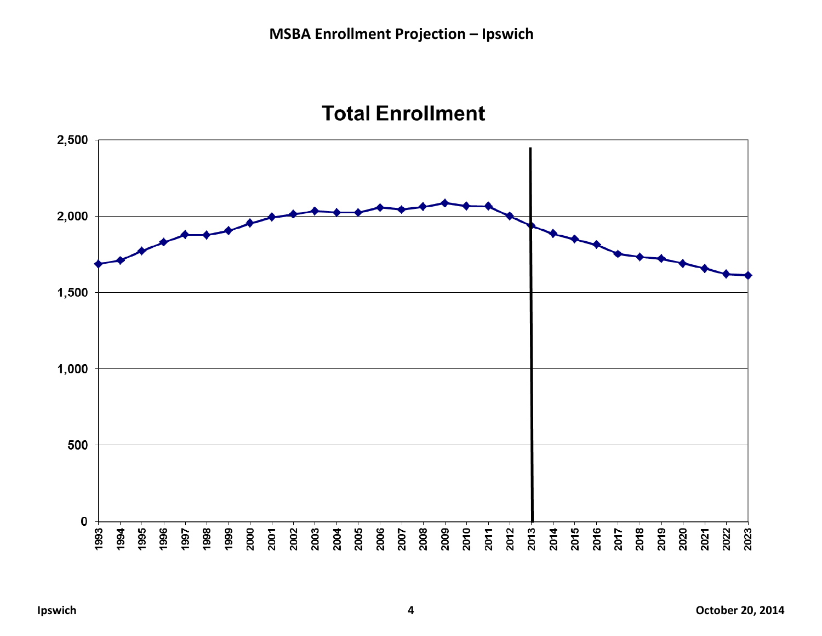

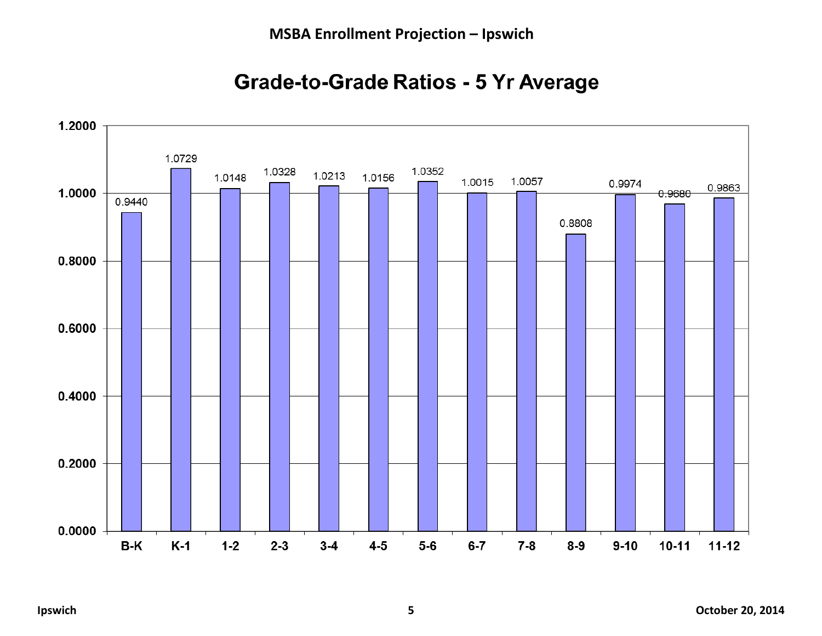

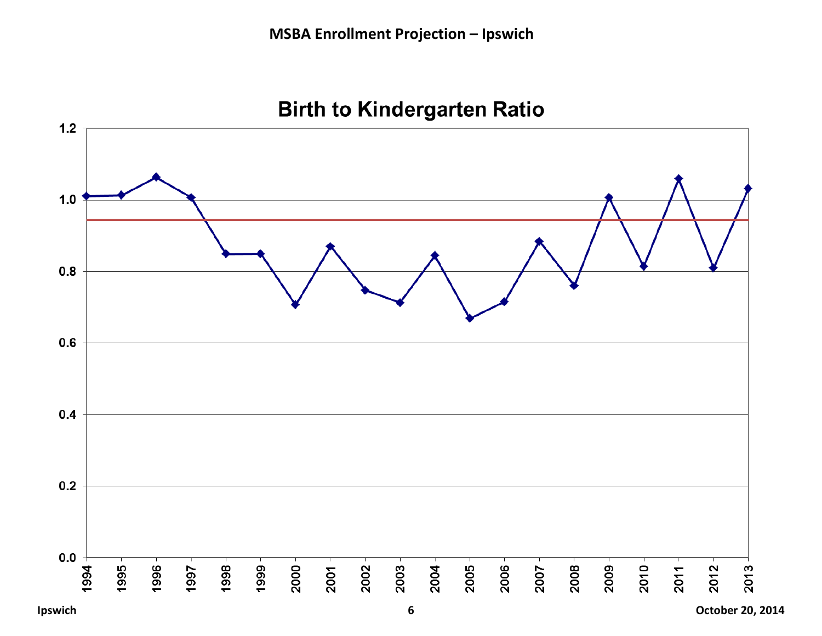

## **Birth to Kindergarten Ratio**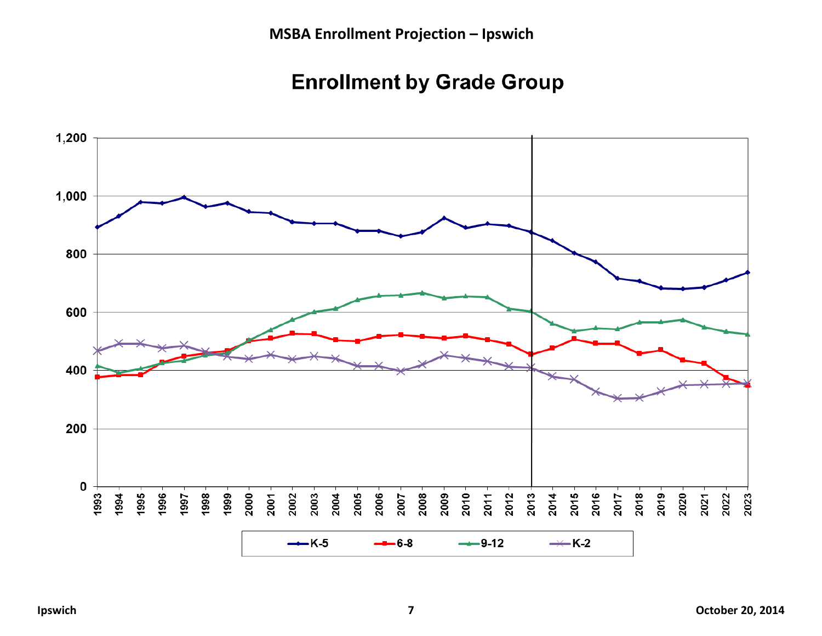## **Enrollment by Grade Group**